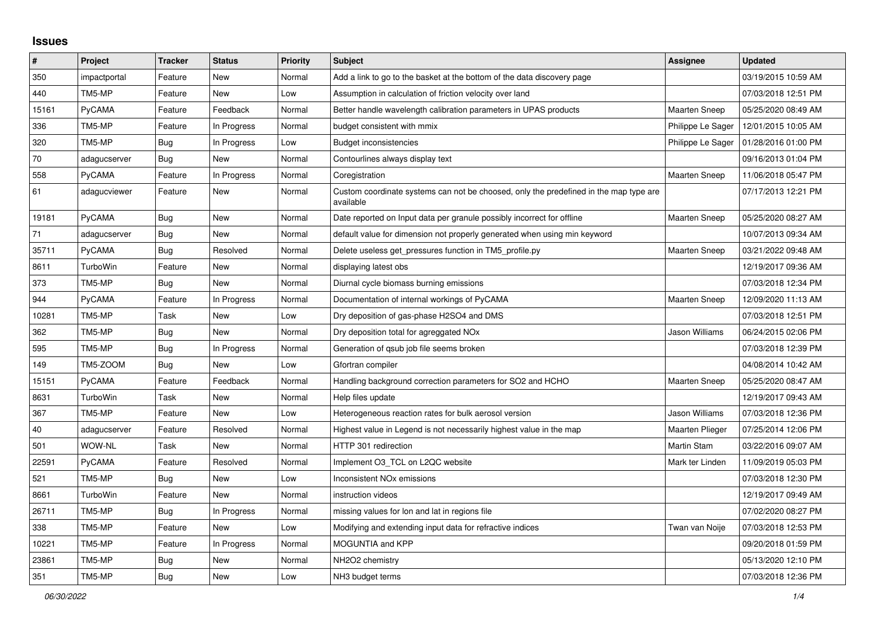## **Issues**

| $\vert$ # | Project       | <b>Tracker</b> | <b>Status</b> | <b>Priority</b> | <b>Subject</b>                                                                                     | <b>Assignee</b>        | <b>Updated</b>      |
|-----------|---------------|----------------|---------------|-----------------|----------------------------------------------------------------------------------------------------|------------------------|---------------------|
| 350       | impactportal  | Feature        | <b>New</b>    | Normal          | Add a link to go to the basket at the bottom of the data discovery page                            |                        | 03/19/2015 10:59 AM |
| 440       | TM5-MP        | Feature        | <b>New</b>    | Low             | Assumption in calculation of friction velocity over land                                           |                        | 07/03/2018 12:51 PM |
| 15161     | PyCAMA        | Feature        | Feedback      | Normal          | Better handle wavelength calibration parameters in UPAS products                                   | <b>Maarten Sneep</b>   | 05/25/2020 08:49 AM |
| 336       | TM5-MP        | Feature        | In Progress   | Normal          | budget consistent with mmix                                                                        | Philippe Le Sager      | 12/01/2015 10:05 AM |
| 320       | TM5-MP        | <b>Bug</b>     | In Progress   | Low             | <b>Budget inconsistencies</b>                                                                      | Philippe Le Sager      | 01/28/2016 01:00 PM |
| 70        | adagucserver  | <b>Bug</b>     | New           | Normal          | Contourlines always display text                                                                   |                        | 09/16/2013 01:04 PM |
| 558       | PyCAMA        | Feature        | In Progress   | Normal          | Coregistration                                                                                     | Maarten Sneep          | 11/06/2018 05:47 PM |
| 61        | adagucviewer  | Feature        | <b>New</b>    | Normal          | Custom coordinate systems can not be choosed, only the predefined in the map type are<br>available |                        | 07/17/2013 12:21 PM |
| 19181     | <b>PyCAMA</b> | Bug            | <b>New</b>    | Normal          | Date reported on Input data per granule possibly incorrect for offline                             | <b>Maarten Sneep</b>   | 05/25/2020 08:27 AM |
| 71        | adagucserver  | Bug            | <b>New</b>    | Normal          | default value for dimension not properly generated when using min keyword                          |                        | 10/07/2013 09:34 AM |
| 35711     | PyCAMA        | Bug            | Resolved      | Normal          | Delete useless get_pressures function in TM5_profile.py                                            | <b>Maarten Sneep</b>   | 03/21/2022 09:48 AM |
| 8611      | TurboWin      | Feature        | New           | Normal          | displaying latest obs                                                                              |                        | 12/19/2017 09:36 AM |
| 373       | TM5-MP        | Bug            | <b>New</b>    | Normal          | Diurnal cycle biomass burning emissions                                                            |                        | 07/03/2018 12:34 PM |
| 944       | PyCAMA        | Feature        | In Progress   | Normal          | Documentation of internal workings of PyCAMA                                                       | <b>Maarten Sneep</b>   | 12/09/2020 11:13 AM |
| 10281     | TM5-MP        | Task           | New           | Low             | Dry deposition of gas-phase H2SO4 and DMS                                                          |                        | 07/03/2018 12:51 PM |
| 362       | TM5-MP        | Bug            | New           | Normal          | Dry deposition total for agreggated NO <sub>x</sub>                                                | Jason Williams         | 06/24/2015 02:06 PM |
| 595       | TM5-MP        | Bug            | In Progress   | Normal          | Generation of gsub job file seems broken                                                           |                        | 07/03/2018 12:39 PM |
| 149       | TM5-ZOOM      | Bug            | <b>New</b>    | Low             | Gfortran compiler                                                                                  |                        | 04/08/2014 10:42 AM |
| 15151     | PyCAMA        | Feature        | Feedback      | Normal          | Handling background correction parameters for SO2 and HCHO                                         | <b>Maarten Sneep</b>   | 05/25/2020 08:47 AM |
| 8631      | TurboWin      | Task           | <b>New</b>    | Normal          | Help files update                                                                                  |                        | 12/19/2017 09:43 AM |
| 367       | TM5-MP        | Feature        | <b>New</b>    | Low             | Heterogeneous reaction rates for bulk aerosol version                                              | Jason Williams         | 07/03/2018 12:36 PM |
| 40        | adagucserver  | Feature        | Resolved      | Normal          | Highest value in Legend is not necessarily highest value in the map                                | <b>Maarten Plieger</b> | 07/25/2014 12:06 PM |
| 501       | WOW-NL        | Task           | <b>New</b>    | Normal          | HTTP 301 redirection                                                                               | <b>Martin Stam</b>     | 03/22/2016 09:07 AM |
| 22591     | PyCAMA        | Feature        | Resolved      | Normal          | Implement O3 TCL on L2QC website                                                                   | Mark ter Linden        | 11/09/2019 05:03 PM |
| 521       | TM5-MP        | <b>Bug</b>     | <b>New</b>    | Low             | <b>Inconsistent NOx emissions</b>                                                                  |                        | 07/03/2018 12:30 PM |
| 8661      | TurboWin      | Feature        | <b>New</b>    | Normal          | instruction videos                                                                                 |                        | 12/19/2017 09:49 AM |
| 26711     | TM5-MP        | <b>Bug</b>     | In Progress   | Normal          | missing values for lon and lat in regions file                                                     |                        | 07/02/2020 08:27 PM |
| 338       | TM5-MP        | Feature        | <b>New</b>    | Low             | Modifying and extending input data for refractive indices                                          | Twan van Noije         | 07/03/2018 12:53 PM |
| 10221     | TM5-MP        | Feature        | In Progress   | Normal          | <b>MOGUNTIA and KPP</b>                                                                            |                        | 09/20/2018 01:59 PM |
| 23861     | TM5-MP        | Bug            | <b>New</b>    | Normal          | NH2O2 chemistry                                                                                    |                        | 05/13/2020 12:10 PM |
| 351       | TM5-MP        | Bug            | New           | Low             | NH3 budget terms                                                                                   |                        | 07/03/2018 12:36 PM |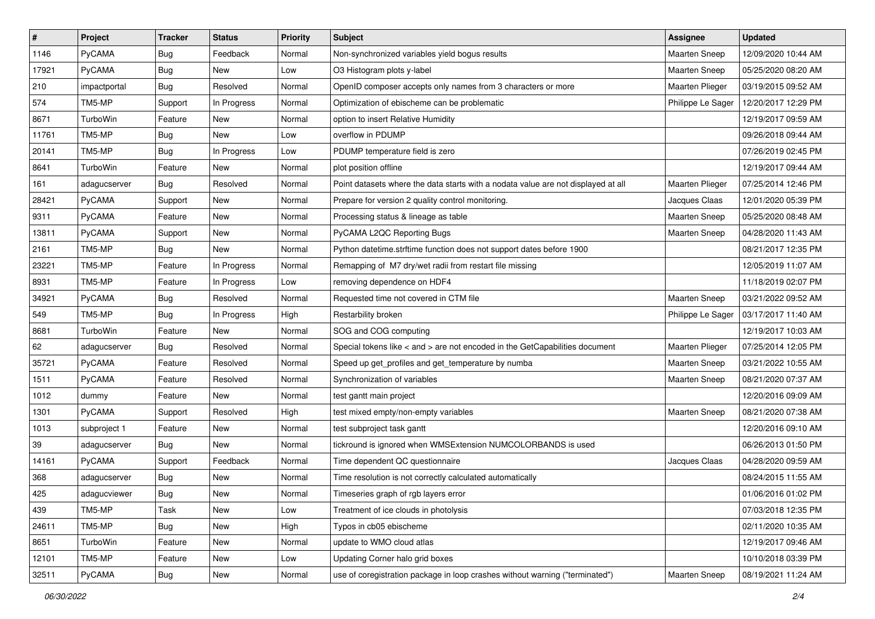| $\sharp$ | Project       | <b>Tracker</b> | <b>Status</b> | <b>Priority</b> | <b>Subject</b>                                                                      | Assignee             | <b>Updated</b>      |
|----------|---------------|----------------|---------------|-----------------|-------------------------------------------------------------------------------------|----------------------|---------------------|
| 1146     | PyCAMA        | Bug            | Feedback      | Normal          | Non-synchronized variables yield bogus results                                      | Maarten Sneep        | 12/09/2020 10:44 AM |
| 17921    | <b>PyCAMA</b> | <b>Bug</b>     | <b>New</b>    | Low             | O3 Histogram plots y-label                                                          | <b>Maarten Sneep</b> | 05/25/2020 08:20 AM |
| 210      | impactportal  | <b>Bug</b>     | Resolved      | Normal          | OpenID composer accepts only names from 3 characters or more                        | Maarten Plieger      | 03/19/2015 09:52 AM |
| 574      | TM5-MP        | Support        | In Progress   | Normal          | Optimization of ebischeme can be problematic                                        | Philippe Le Sager    | 12/20/2017 12:29 PM |
| 8671     | TurboWin      | Feature        | <b>New</b>    | Normal          | option to insert Relative Humidity                                                  |                      | 12/19/2017 09:59 AM |
| 11761    | TM5-MP        | <b>Bug</b>     | New           | Low             | overflow in PDUMP                                                                   |                      | 09/26/2018 09:44 AM |
| 20141    | TM5-MP        | <b>Bug</b>     | In Progress   | Low             | PDUMP temperature field is zero                                                     |                      | 07/26/2019 02:45 PM |
| 8641     | TurboWin      | Feature        | New           | Normal          | plot position offline                                                               |                      | 12/19/2017 09:44 AM |
| 161      | adagucserver  | Bug            | Resolved      | Normal          | Point datasets where the data starts with a nodata value are not displayed at all   | Maarten Plieger      | 07/25/2014 12:46 PM |
| 28421    | <b>PyCAMA</b> | Support        | New           | Normal          | Prepare for version 2 quality control monitoring.                                   | Jacques Claas        | 12/01/2020 05:39 PM |
| 9311     | <b>PyCAMA</b> | Feature        | New           | Normal          | Processing status & lineage as table                                                | Maarten Sneep        | 05/25/2020 08:48 AM |
| 13811    | PyCAMA        | Support        | New           | Normal          | PyCAMA L2QC Reporting Bugs                                                          | <b>Maarten Sneep</b> | 04/28/2020 11:43 AM |
| 2161     | TM5-MP        | <b>Bug</b>     | New           | Normal          | Python datetime.strftime function does not support dates before 1900                |                      | 08/21/2017 12:35 PM |
| 23221    | TM5-MP        | Feature        | In Progress   | Normal          | Remapping of M7 dry/wet radii from restart file missing                             |                      | 12/05/2019 11:07 AM |
| 8931     | TM5-MP        | Feature        | In Progress   | Low             | removing dependence on HDF4                                                         |                      | 11/18/2019 02:07 PM |
| 34921    | PyCAMA        | <b>Bug</b>     | Resolved      | Normal          | Requested time not covered in CTM file                                              | Maarten Sneep        | 03/21/2022 09:52 AM |
| 549      | TM5-MP        | <b>Bug</b>     | In Progress   | High            | Restarbility broken                                                                 | Philippe Le Sager    | 03/17/2017 11:40 AM |
| 8681     | TurboWin      | Feature        | <b>New</b>    | Normal          | SOG and COG computing                                                               |                      | 12/19/2017 10:03 AM |
| 62       | adagucserver  | <b>Bug</b>     | Resolved      | Normal          | Special tokens like $\lt$ and $\gt$ are not encoded in the GetCapabilities document | Maarten Plieger      | 07/25/2014 12:05 PM |
| 35721    | <b>PyCAMA</b> | Feature        | Resolved      | Normal          | Speed up get_profiles and get_temperature by numba                                  | Maarten Sneep        | 03/21/2022 10:55 AM |
| 1511     | <b>PyCAMA</b> | Feature        | Resolved      | Normal          | Synchronization of variables                                                        | <b>Maarten Sneep</b> | 08/21/2020 07:37 AM |
| 1012     | dummy         | Feature        | New           | Normal          | test gantt main project                                                             |                      | 12/20/2016 09:09 AM |
| 1301     | PyCAMA        | Support        | Resolved      | High            | test mixed empty/non-empty variables                                                | <b>Maarten Sneep</b> | 08/21/2020 07:38 AM |
| 1013     | subproject 1  | Feature        | New           | Normal          | test subproject task gantt                                                          |                      | 12/20/2016 09:10 AM |
| 39       | adagucserver  | <b>Bug</b>     | New           | Normal          | tickround is ignored when WMSExtension NUMCOLORBANDS is used                        |                      | 06/26/2013 01:50 PM |
| 14161    | PyCAMA        | Support        | Feedback      | Normal          | Time dependent QC questionnaire                                                     | Jacques Claas        | 04/28/2020 09:59 AM |
| 368      | adagucserver  | <b>Bug</b>     | New           | Normal          | Time resolution is not correctly calculated automatically                           |                      | 08/24/2015 11:55 AM |
| 425      | adagucviewer  | Bug            | New           | Normal          | Timeseries graph of rgb layers error                                                |                      | 01/06/2016 01:02 PM |
| 439      | TM5-MP        | Task           | New           | Low             | Treatment of ice clouds in photolysis                                               |                      | 07/03/2018 12:35 PM |
| 24611    | TM5-MP        | Bug            | New           | High            | Typos in cb05 ebischeme                                                             |                      | 02/11/2020 10:35 AM |
| 8651     | TurboWin      | Feature        | New           | Normal          | update to WMO cloud atlas                                                           |                      | 12/19/2017 09:46 AM |
| 12101    | TM5-MP        | Feature        | New           | Low             | Updating Corner halo grid boxes                                                     |                      | 10/10/2018 03:39 PM |
| 32511    | PyCAMA        | <b>Bug</b>     | New           | Normal          | use of coregistration package in loop crashes without warning ("terminated")        | <b>Maarten Sneep</b> | 08/19/2021 11:24 AM |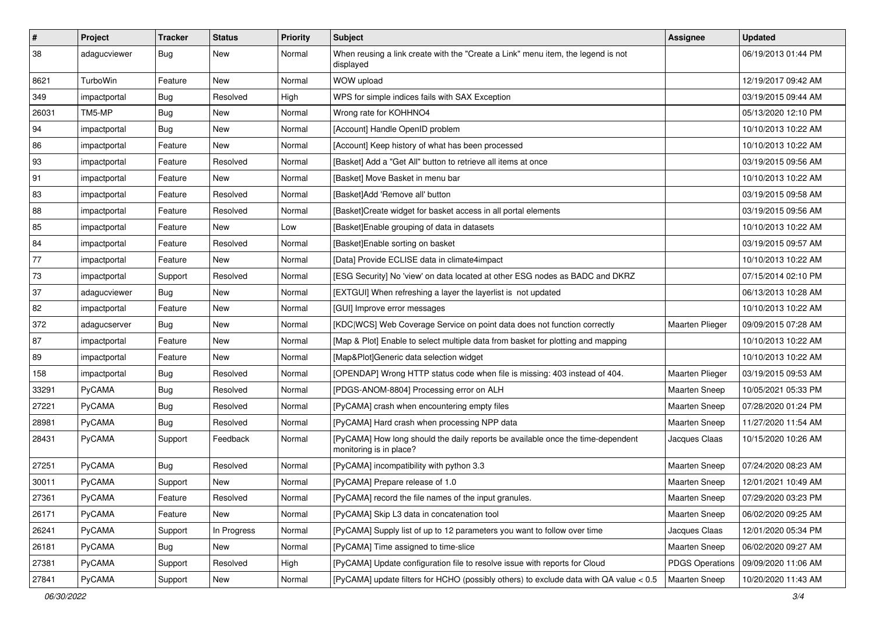| $\pmb{\#}$ | Project         | <b>Tracker</b> | <b>Status</b> | <b>Priority</b> | <b>Subject</b>                                                                                             | <b>Assignee</b>        | <b>Updated</b>      |
|------------|-----------------|----------------|---------------|-----------------|------------------------------------------------------------------------------------------------------------|------------------------|---------------------|
| 38         | adagucviewer    | <b>Bug</b>     | New           | Normal          | When reusing a link create with the "Create a Link" menu item, the legend is not<br>displayed              |                        | 06/19/2013 01:44 PM |
| 8621       | <b>TurboWin</b> | Feature        | New           | Normal          | WOW upload                                                                                                 |                        | 12/19/2017 09:42 AM |
| 349        | impactportal    | Bug            | Resolved      | High            | WPS for simple indices fails with SAX Exception                                                            |                        | 03/19/2015 09:44 AM |
| 26031      | TM5-MP          | <b>Bug</b>     | New           | Normal          | Wrong rate for KOHHNO4                                                                                     |                        | 05/13/2020 12:10 PM |
| 94         | impactportal    | <b>Bug</b>     | New           | Normal          | [Account] Handle OpenID problem                                                                            |                        | 10/10/2013 10:22 AM |
| 86         | impactportal    | Feature        | <b>New</b>    | Normal          | [Account] Keep history of what has been processed                                                          |                        | 10/10/2013 10:22 AM |
| 93         | impactportal    | Feature        | Resolved      | Normal          | [Basket] Add a "Get All" button to retrieve all items at once                                              |                        | 03/19/2015 09:56 AM |
| 91         | impactportal    | Feature        | New           | Normal          | [Basket] Move Basket in menu bar                                                                           |                        | 10/10/2013 10:22 AM |
| 83         | impactportal    | Feature        | Resolved      | Normal          | [Basket]Add 'Remove all' button                                                                            |                        | 03/19/2015 09:58 AM |
| 88         | impactportal    | Feature        | Resolved      | Normal          | [Basket]Create widget for basket access in all portal elements                                             |                        | 03/19/2015 09:56 AM |
| 85         | impactportal    | Feature        | New           | Low             | [Basket] Enable grouping of data in datasets                                                               |                        | 10/10/2013 10:22 AM |
| 84         | impactportal    | Feature        | Resolved      | Normal          | [Basket]Enable sorting on basket                                                                           |                        | 03/19/2015 09:57 AM |
| 77         | impactportal    | Feature        | New           | Normal          | [Data] Provide ECLISE data in climate4impact                                                               |                        | 10/10/2013 10:22 AM |
| 73         | impactportal    | Support        | Resolved      | Normal          | [ESG Security] No 'view' on data located at other ESG nodes as BADC and DKRZ                               |                        | 07/15/2014 02:10 PM |
| 37         | adaqucviewer    | Bug            | New           | Normal          | [EXTGUI] When refreshing a layer the layerlist is not updated                                              |                        | 06/13/2013 10:28 AM |
| 82         | impactportal    | Feature        | New           | Normal          | [GUI] Improve error messages                                                                               |                        | 10/10/2013 10:22 AM |
| 372        | adagucserver    | Bug            | <b>New</b>    | Normal          | [KDC WCS] Web Coverage Service on point data does not function correctly                                   | <b>Maarten Plieger</b> | 09/09/2015 07:28 AM |
| 87         | impactportal    | Feature        | New           | Normal          | [Map & Plot] Enable to select multiple data from basket for plotting and mapping                           |                        | 10/10/2013 10:22 AM |
| 89         | impactportal    | Feature        | New           | Normal          | [Map&Plot]Generic data selection widget                                                                    |                        | 10/10/2013 10:22 AM |
| 158        | impactportal    | Bug            | Resolved      | Normal          | [OPENDAP] Wrong HTTP status code when file is missing: 403 instead of 404.                                 | <b>Maarten Plieger</b> | 03/19/2015 09:53 AM |
| 33291      | PyCAMA          | Bug            | Resolved      | Normal          | [PDGS-ANOM-8804] Processing error on ALH                                                                   | <b>Maarten Sneep</b>   | 10/05/2021 05:33 PM |
| 27221      | PyCAMA          | <b>Bug</b>     | Resolved      | Normal          | [PyCAMA] crash when encountering empty files                                                               | <b>Maarten Sneep</b>   | 07/28/2020 01:24 PM |
| 28981      | PyCAMA          | <b>Bug</b>     | Resolved      | Normal          | [PyCAMA] Hard crash when processing NPP data                                                               | <b>Maarten Sneep</b>   | 11/27/2020 11:54 AM |
| 28431      | PyCAMA          | Support        | Feedback      | Normal          | [PyCAMA] How long should the daily reports be available once the time-dependent<br>monitoring is in place? | Jacques Claas          | 10/15/2020 10:26 AM |
| 27251      | PyCAMA          | <b>Bug</b>     | Resolved      | Normal          | [PyCAMA] incompatibility with python 3.3                                                                   | Maarten Sneep          | 07/24/2020 08:23 AM |
| 30011      | PyCAMA          | Support        | New           | Normal          | [PyCAMA] Prepare release of 1.0                                                                            | <b>Maarten Sneep</b>   | 12/01/2021 10:49 AM |
| 27361      | PyCAMA          | Feature        | Resolved      | Normal          | [PyCAMA] record the file names of the input granules.                                                      | Maarten Sneep          | 07/29/2020 03:23 PM |
| 26171      | PyCAMA          | Feature        | New           | Normal          | [PyCAMA] Skip L3 data in concatenation tool                                                                | <b>Maarten Sneep</b>   | 06/02/2020 09:25 AM |
| 26241      | PyCAMA          | Support        | In Progress   | Normal          | [PyCAMA] Supply list of up to 12 parameters you want to follow over time                                   | Jacques Claas          | 12/01/2020 05:34 PM |
| 26181      | PyCAMA          | <b>Bug</b>     | New           | Normal          | [PyCAMA] Time assigned to time-slice                                                                       | Maarten Sneep          | 06/02/2020 09:27 AM |
| 27381      | PyCAMA          | Support        | Resolved      | High            | [PyCAMA] Update configuration file to resolve issue with reports for Cloud                                 | <b>PDGS Operations</b> | 09/09/2020 11:06 AM |
| 27841      | PyCAMA          | Support        | New           | Normal          | [PyCAMA] update filters for HCHO (possibly others) to exclude data with QA value < 0.5                     | <b>Maarten Sneep</b>   | 10/20/2020 11:43 AM |